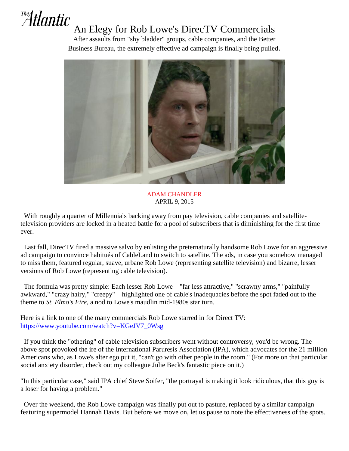## The Atlantic An Elegy for Rob Lowe's DirecTV Commercials

After assaults from "shy bladder" groups, cable companies, and the Better Business Bureau, the extremely effective ad campaign is finally being pulled.



ADAM CHANDLER APRIL 9, 2015

 With roughly a quarter of Millennials backing away from pay television, cable companies and satellitetelevision providers are locked in a heated battle for a pool of subscribers that is diminishing for the first time ever.

 Last fall, DirecTV fired a massive salvo by enlisting the preternaturally handsome Rob Lowe for an aggressive ad campaign to convince habitués of CableLand to switch to satellite. The ads, in case you somehow managed to miss them, featured regular, suave, urbane Rob Lowe (representing satellite television) and bizarre, lesser versions of Rob Lowe (representing cable television).

 The formula was pretty simple: Each lesser Rob Lowe—"far less attractive," "scrawny arms," "painfully awkward," "crazy hairy," "creepy"—highlighted one of cable's inadequacies before the spot faded out to the theme to *St. Elmo's Fire*, a nod to Lowe's maudlin mid-1980s star turn.

Here is a link to one of the many commercials Rob Lowe starred in for Direct TV: [https://www.youtube.com/watch?v=KGeJV7\\_0Wsg](https://www.youtube.com/watch?v=KGeJV7_0Wsg)

 If you think the "othering" of cable television subscribers went without controversy, you'd be wrong. The above spot provoked the ire of the International Paruresis Association (IPA), which advocates for the 21 million Americans who, as Lowe's alter ego put it, "can't go with other people in the room." (For more on that particular social anxiety disorder, check out my colleague Julie Beck's fantastic piece on it.)

"In this particular case," said IPA chief Steve Soifer, "the portrayal is making it look ridiculous, that this guy is a loser for having a problem."

 Over the weekend, the Rob Lowe campaign was finally put out to pasture, replaced by a similar campaign featuring supermodel Hannah Davis. But before we move on, let us pause to note the effectiveness of the spots.